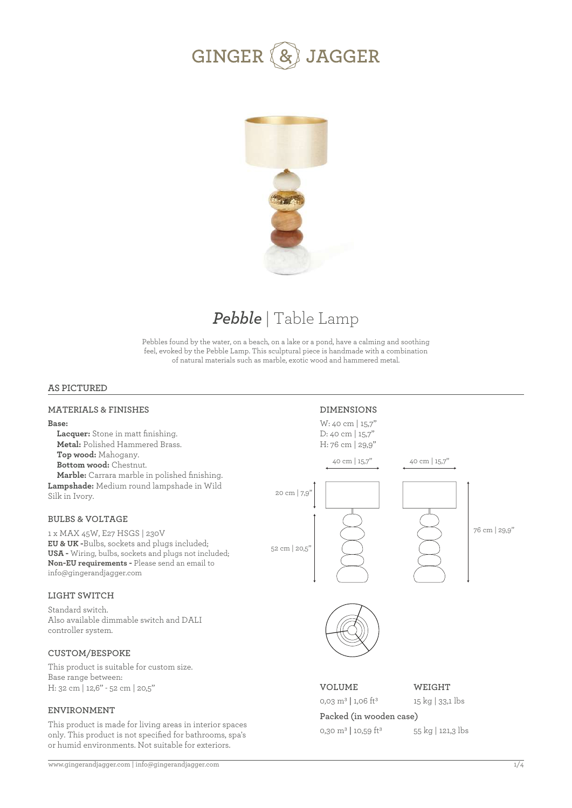



# *Pebble* | Table Lamp

Pebbles found by the water, on a beach, on a lake or a pond, have a calming and soothing feel, evoked by the Pebble Lamp. This sculptural piece is handmade with a combination of natural materials such as marble, exotic wood and hammered metal.

#### **AS PICTURED**

#### **MATERIALS & FINISHES**

#### **Base:**

 **Lacquer:** Stone in matt finishing.  **Metal:** Polished Hammered Brass.  **Top wood:** Mahogany.  **Bottom wood:** Chestnut.  **Marble:** Carrara marble in polished finishing. **Lampshade:** Medium round lampshade in Wild

**BULBS & VOLTAGE** 

Silk in Ivory.

1 x MAX 45W, E27 HSGS | 230V **EU & UK -**Bulbs, sockets and plugs included; **USA -** Wiring, bulbs, sockets and plugs not included; **Non-EU requirements -** Please send an email to info@gingerandjagger.com

#### **LIGHT SWITCH**

Standard switch. Also available dimmable switch and DALI controller system.

#### **CUSTOM/BESPOKE**

This product is suitable for custom size. Base range between: H: 32 cm | 12,6'' - 52 cm | 20,5''

#### **ENVIRONMENT**

This product is made for living areas in interior spaces only. This product is not specified for bathrooms, spa's or humid environments. Not suitable for exteriors.

**DIMENSIONS** W: 40 cm | 15,7'' D: 40 cm | 15,7'' H: 76 cm | 29,9''







**VOLUME** 0,03 m3 **|** 1,06 ft3 **WEIGHT** 15 kg | 33,1 lbs

# **Packed (in wooden case)**

0,30 m3 **|** 10,59 ft3

55 kg | 121,3 lbs

76 cm | 29,9''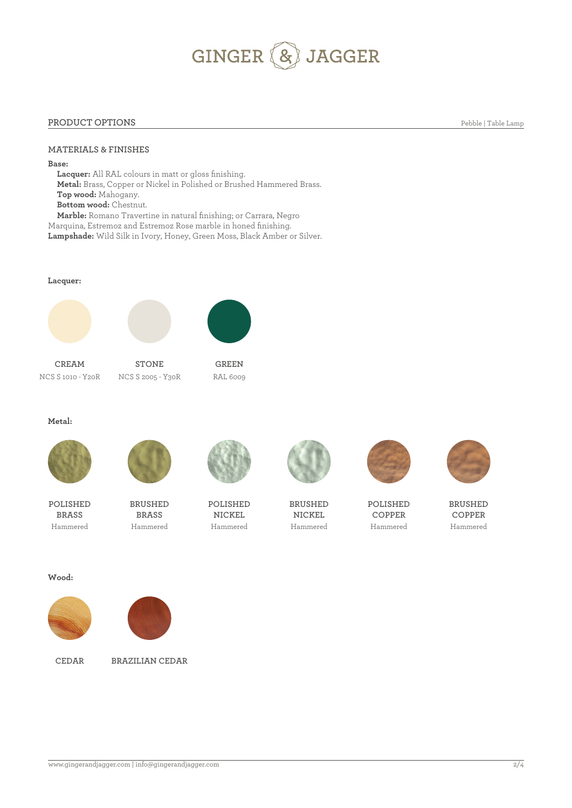# GINGER (& JAGGER

#### **PRODUCT OPTIONS**

**MATERIALS & FINISHES** 

**Base:**

 **Lacquer:** All RAL colours in matt or gloss finishing.  **Metal:** Brass, Copper or Nickel in Polished or Brushed Hammered Brass.  **Top wood:** Mahogany.  **Bottom wood:** Chestnut.  **Marble:** Romano Travertine in natural finishing; or Carrara, Negro Marquina, Estremoz and Estremoz Rose marble in honed finishing.

**Lampshade:** Wild Silk in Ivory, Honey, Green Moss, Black Amber or Silver.

**Lacquer:**







**CREAM STONE GREEN**

NCS S 1010 - Y20R NCS S 2005 - Y30R RAL 6009

**Metal:**



**POLISHED BRASS**



**BRUSHED BRASS**



**POLISHED NICKEL** Hammered Hammered Hammered Hammered Hammered Hammered



**BRUSHED NICKEL**





**BRUSHED COPPER**

**Wood:**





**CEDAR BRAZILIAN CEDAR**



**POLISHED COPPER**

www.gingerandjagger.com | info@gingerandjagger.com

Pebble | Table Lamp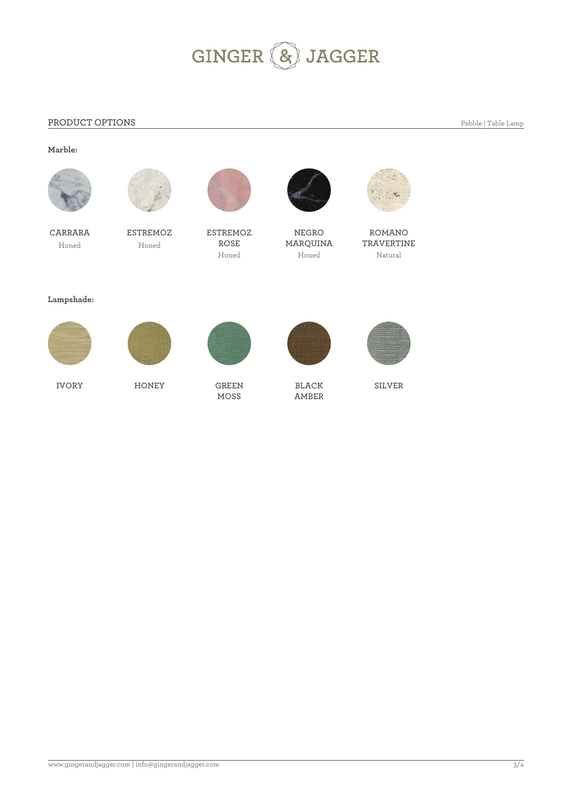# GINGER & JAGGER

### **PRODUCT OPTIONS**

Pebble | Table Lamp

### **Marble:**







**CARRARA ESTREMOZ ESTREMOZ ROSE**



**NEGRO** Honed **Honed ROSE MARQUINA**<br>Honed Honed Honed Honed Honed Natural



**ROMANO TRAVERTINE**

#### **Lampshade:**









**BLACK AMBER**



**SILVER**

**IVORY HONEY GREEN**

**MOSS**